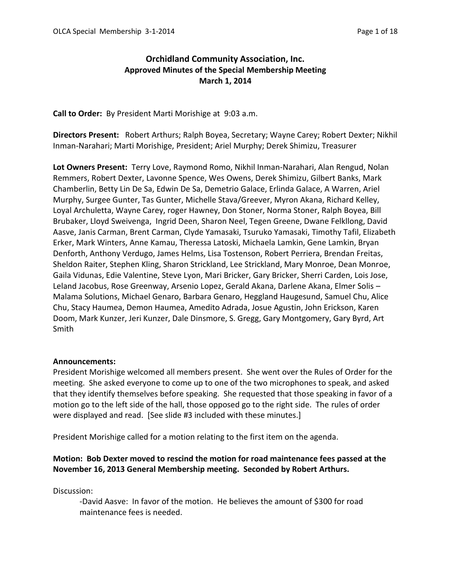# **Orchidland Community Association, Inc. Approved Minutes of the Special Membership Meeting March 1, 2014**

**Call to Order:** By President Marti Morishige at 9:03 a.m.

**Directors Present:** Robert Arthurs; Ralph Boyea, Secretary; Wayne Carey; Robert Dexter; Nikhil Inman-Narahari; Marti Morishige, President; Ariel Murphy; Derek Shimizu, Treasurer

**Lot Owners Present:** Terry Love, Raymond Romo, Nikhil Inman-Narahari, Alan Rengud, Nolan Remmers, Robert Dexter, Lavonne Spence, Wes Owens, Derek Shimizu, Gilbert Banks, Mark Chamberlin, Betty Lin De Sa, Edwin De Sa, Demetrio Galace, Erlinda Galace, A Warren, Ariel Murphy, Surgee Gunter, Tas Gunter, Michelle Stava/Greever, Myron Akana, Richard Kelley, Loyal Archuletta, Wayne Carey, roger Hawney, Don Stoner, Norma Stoner, Ralph Boyea, Bill Brubaker, Lloyd Sweivenga, Ingrid Deen, Sharon Neel, Tegen Greene, Dwane Felkllong, David Aasve, Janis Carman, Brent Carman, Clyde Yamasaki, Tsuruko Yamasaki, Timothy Tafil, Elizabeth Erker, Mark Winters, Anne Kamau, Theressa Latoski, Michaela Lamkin, Gene Lamkin, Bryan Denforth, Anthony Verdugo, James Helms, Lisa Tostenson, Robert Perriera, Brendan Freitas, Sheldon Raiter, Stephen Kling, Sharon Strickland, Lee Strickland, Mary Monroe, Dean Monroe, Gaila Vidunas, Edie Valentine, Steve Lyon, Mari Bricker, Gary Bricker, Sherri Carden, Lois Jose, Leland Jacobus, Rose Greenway, Arsenio Lopez, Gerald Akana, Darlene Akana, Elmer Solis – Malama Solutions, Michael Genaro, Barbara Genaro, Heggland Haugesund, Samuel Chu, Alice Chu, Stacy Haumea, Demon Haumea, Amedito Adrada, Josue Agustin, John Erickson, Karen Doom, Mark Kunzer, Jeri Kunzer, Dale Dinsmore, S. Gregg, Gary Montgomery, Gary Byrd, Art Smith

## **Announcements:**

President Morishige welcomed all members present. She went over the Rules of Order for the meeting. She asked everyone to come up to one of the two microphones to speak, and asked that they identify themselves before speaking. She requested that those speaking in favor of a motion go to the left side of the hall, those opposed go to the right side. The rules of order were displayed and read. [See slide #3 included with these minutes.]

President Morishige called for a motion relating to the first item on the agenda.

# **Motion: Bob Dexter moved to rescind the motion for road maintenance fees passed at the November 16, 2013 General Membership meeting. Seconded by Robert Arthurs.**

Discussion:

-David Aasve: In favor of the motion. He believes the amount of \$300 for road maintenance fees is needed.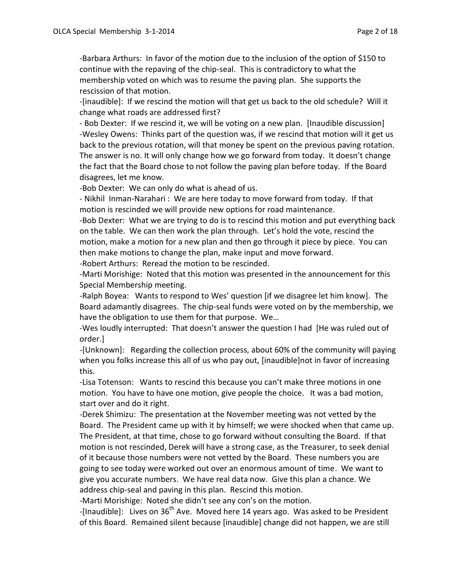-Barbara Arthurs: In favor of the motion due to the inclusion of the option of \$150 to continue with the repaving of the chip-seal. This is contradictory to what the membership voted on which was to resume the paving plan. She supports the rescission of that motion.

-[inaudible]: If we rescind the motion will that get us back to the old schedule? Will it change what roads are addressed first?

- Bob Dexter: If we rescind it, we will be voting on a new plan. [Inaudible discussion] -Wesley Owens: Thinks part of the question was, if we rescind that motion will it get us back to the previous rotation, will that money be spent on the previous paving rotation. The answer is no. It will only change how we go forward from today. It doesn't change the fact that the Board chose to not follow the paving plan before today. If the Board disagrees, let me know.

-Bob Dexter: We can only do what is ahead of us.

- Nikhil Inman-Narahari : We are here today to move forward from today. If that motion is rescinded we will provide new options for road maintenance.

-Bob Dexter: What we are trying to do is to rescind this motion and put everything back on the table. We can then work the plan through. Let's hold the vote, rescind the motion, make a motion for a new plan and then go through it piece by piece. You can then make motions to change the plan, make input and move forward. -Robert Arthurs: Reread the motion to be rescinded.

-Marti Morishige: Noted that this motion was presented in the announcement for this Special Membership meeting.

-Ralph Boyea: Wants to respond to Wes' question [if we disagree let him know]. The Board adamantly disagrees. The chip-seal funds were voted on by the membership, we have the obligation to use them for that purpose. We…

-Wes loudly interrupted: That doesn't answer the question I had [He was ruled out of order.]

-[Unknown]: Regarding the collection process, about 60% of the community will paying when you folks increase this all of us who pay out, [inaudible]not in favor of increasing this.

-Lisa Totenson: Wants to rescind this because you can't make three motions in one motion. You have to have one motion, give people the choice. It was a bad motion, start over and do it right.

-Derek Shimizu: The presentation at the November meeting was not vetted by the Board. The President came up with it by himself; we were shocked when that came up. The President, at that time, chose to go forward without consulting the Board. If that motion is not rescinded, Derek will have a strong case, as the Treasurer, to seek denial of it because those numbers were not vetted by the Board. These numbers you are going to see today were worked out over an enormous amount of time. We want to give you accurate numbers. We have real data now. Give this plan a chance. We address chip-seal and paving in this plan. Rescind this motion.

-Marti Morishige: Noted she didn't see any con's on the motion.

-[Inaudible]: Lives on  $36<sup>th</sup>$  Ave. Moved here 14 years ago. Was asked to be President of this Board. Remained silent because [inaudible] change did not happen, we are still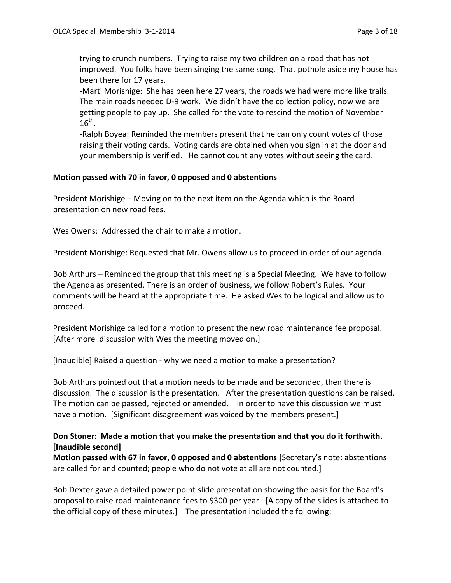trying to crunch numbers. Trying to raise my two children on a road that has not improved. You folks have been singing the same song. That pothole aside my house has been there for 17 years.

-Marti Morishige: She has been here 27 years, the roads we had were more like trails. The main roads needed D-9 work. We didn't have the collection policy, now we are getting people to pay up. She called for the vote to rescind the motion of November  $16^{\text{th}}$ .

-Ralph Boyea: Reminded the members present that he can only count votes of those raising their voting cards. Voting cards are obtained when you sign in at the door and your membership is verified. He cannot count any votes without seeing the card.

#### **Motion passed with 70 in favor, 0 opposed and 0 abstentions**

President Morishige – Moving on to the next item on the Agenda which is the Board presentation on new road fees.

Wes Owens: Addressed the chair to make a motion.

President Morishige: Requested that Mr. Owens allow us to proceed in order of our agenda

Bob Arthurs – Reminded the group that this meeting is a Special Meeting. We have to follow the Agenda as presented. There is an order of business, we follow Robert's Rules. Your comments will be heard at the appropriate time. He asked Wes to be logical and allow us to proceed.

President Morishige called for a motion to present the new road maintenance fee proposal. [After more discussion with Wes the meeting moved on.]

[Inaudible] Raised a question - why we need a motion to make a presentation?

Bob Arthurs pointed out that a motion needs to be made and be seconded, then there is discussion. The discussion is the presentation. After the presentation questions can be raised. The motion can be passed, rejected or amended. In order to have this discussion we must have a motion. [Significant disagreement was voiced by the members present.]

# **Don Stoner: Made a motion that you make the presentation and that you do it forthwith. [Inaudible second]**

**Motion passed with 67 in favor, 0 opposed and 0 abstentions** [Secretary's note: abstentions are called for and counted; people who do not vote at all are not counted.]

Bob Dexter gave a detailed power point slide presentation showing the basis for the Board's proposal to raise road maintenance fees to \$300 per year. [A copy of the slides is attached to the official copy of these minutes.] The presentation included the following: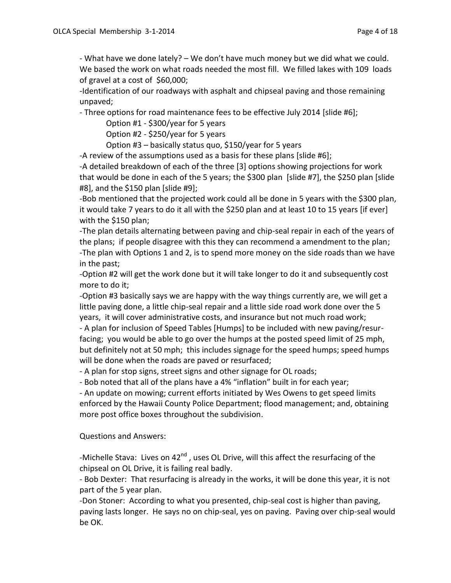- What have we done lately? – We don't have much money but we did what we could. We based the work on what roads needed the most fill. We filled lakes with 109 loads of gravel at a cost of \$60,000;

-Identification of our roadways with asphalt and chipseal paving and those remaining unpaved;

- Three options for road maintenance fees to be effective July 2014 [slide #6];

Option #1 - \$300/year for 5 years

Option #2 - \$250/year for 5 years

Option #3 – basically status quo, \$150/year for 5 years

-A review of the assumptions used as a basis for these plans [slide #6];

-A detailed breakdown of each of the three [3] options showing projections for work that would be done in each of the 5 years; the \$300 plan [slide #7], the \$250 plan [slide #8], and the \$150 plan [slide #9];

-Bob mentioned that the projected work could all be done in 5 years with the \$300 plan, it would take 7 years to do it all with the \$250 plan and at least 10 to 15 years [if ever] with the \$150 plan;

-The plan details alternating between paving and chip-seal repair in each of the years of the plans; if people disagree with this they can recommend a amendment to the plan; -The plan with Options 1 and 2, is to spend more money on the side roads than we have in the past;

-Option #2 will get the work done but it will take longer to do it and subsequently cost more to do it;

-Option #3 basically says we are happy with the way things currently are, we will get a little paving done, a little chip-seal repair and a little side road work done over the 5 years, it will cover administrative costs, and insurance but not much road work;

- A plan for inclusion of Speed Tables [Humps] to be included with new paving/resurfacing; you would be able to go over the humps at the posted speed limit of 25 mph, but definitely not at 50 mph; this includes signage for the speed humps; speed humps will be done when the roads are paved or resurfaced;

- A plan for stop signs, street signs and other signage for OL roads;

- Bob noted that all of the plans have a 4% "inflation" built in for each year;

- An update on mowing; current efforts initiated by Wes Owens to get speed limits enforced by the Hawaii County Police Department; flood management; and, obtaining more post office boxes throughout the subdivision.

## Questions and Answers:

-Michelle Stava: Lives on 42<sup>nd</sup>, uses OL Drive, will this affect the resurfacing of the chipseal on OL Drive, it is failing real badly.

- Bob Dexter: That resurfacing is already in the works, it will be done this year, it is not part of the 5 year plan.

-Don Stoner: According to what you presented, chip-seal cost is higher than paving, paving lasts longer. He says no on chip-seal, yes on paving. Paving over chip-seal would be OK.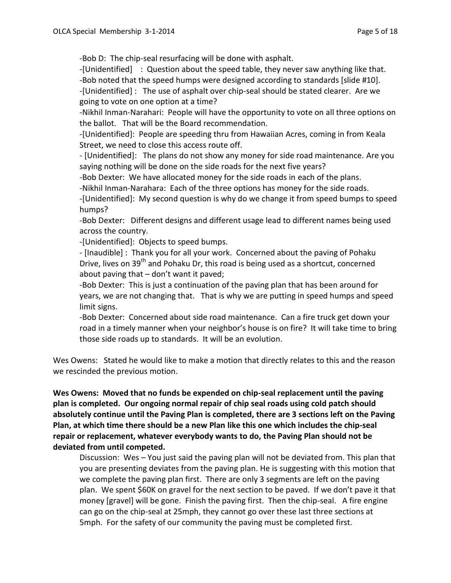-Bob D: The chip-seal resurfacing will be done with asphalt.

-[Unidentified] : Question about the speed table, they never saw anything like that. -Bob noted that the speed humps were designed according to standards [slide #10]. -[Unidentified] : The use of asphalt over chip-seal should be stated clearer. Are we going to vote on one option at a time?

-Nikhil Inman-Narahari: People will have the opportunity to vote on all three options on the ballot. That will be the Board recommendation.

-[Unidentified]: People are speeding thru from Hawaiian Acres, coming in from Keala Street, we need to close this access route off.

- [Unidentified]: The plans do not show any money for side road maintenance. Are you saying nothing will be done on the side roads for the next five years?

-Bob Dexter: We have allocated money for the side roads in each of the plans.

-Nikhil Inman-Narahara: Each of the three options has money for the side roads.

-[Unidentified]: My second question is why do we change it from speed bumps to speed humps?

-Bob Dexter: Different designs and different usage lead to different names being used across the country.

-[Unidentified]: Objects to speed bumps.

- [Inaudible] : Thank you for all your work. Concerned about the paving of Pohaku Drive, lives on 39<sup>th</sup> and Pohaku Dr, this road is being used as a shortcut, concerned about paving that – don't want it paved;

-Bob Dexter: This is just a continuation of the paving plan that has been around for years, we are not changing that. That is why we are putting in speed humps and speed limit signs.

-Bob Dexter: Concerned about side road maintenance. Can a fire truck get down your road in a timely manner when your neighbor's house is on fire? It will take time to bring those side roads up to standards. It will be an evolution.

Wes Owens: Stated he would like to make a motion that directly relates to this and the reason we rescinded the previous motion.

**Wes Owens: Moved that no funds be expended on chip-seal replacement until the paving plan is completed. Our ongoing normal repair of chip seal roads using cold patch should absolutely continue until the Paving Plan is completed, there are 3 sections left on the Paving Plan, at which time there should be a new Plan like this one which includes the chip-seal repair or replacement, whatever everybody wants to do, the Paving Plan should not be deviated from until competed.** 

Discussion: Wes – You just said the paving plan will not be deviated from. This plan that you are presenting deviates from the paving plan. He is suggesting with this motion that we complete the paving plan first. There are only 3 segments are left on the paving plan. We spent \$60K on gravel for the next section to be paved. If we don't pave it that money [gravel] will be gone. Finish the paving first. Then the chip-seal. A fire engine can go on the chip-seal at 25mph, they cannot go over these last three sections at 5mph. For the safety of our community the paving must be completed first.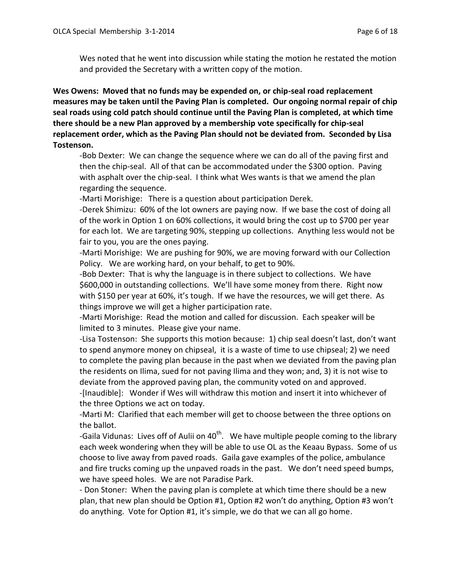Wes noted that he went into discussion while stating the motion he restated the motion and provided the Secretary with a written copy of the motion.

**Wes Owens: Moved that no funds may be expended on, or chip-seal road replacement measures may be taken until the Paving Plan is completed. Our ongoing normal repair of chip seal roads using cold patch should continue until the Paving Plan is completed, at which time there should be a new Plan approved by a membership vote specifically for chip-seal replacement order, which as the Paving Plan should not be deviated from. Seconded by Lisa Tostenson.**

-Bob Dexter: We can change the sequence where we can do all of the paving first and then the chip-seal. All of that can be accommodated under the \$300 option. Paving with asphalt over the chip-seal. I think what Wes wants is that we amend the plan regarding the sequence.

-Marti Morishige: There is a question about participation Derek.

-Derek Shimizu: 60% of the lot owners are paying now. If we base the cost of doing all of the work in Option 1 on 60% collections, it would bring the cost up to \$700 per year for each lot. We are targeting 90%, stepping up collections. Anything less would not be fair to you, you are the ones paying.

-Marti Morishige: We are pushing for 90%, we are moving forward with our Collection Policy. We are working hard, on your behalf, to get to 90%.

-Bob Dexter: That is why the language is in there subject to collections. We have \$600,000 in outstanding collections. We'll have some money from there. Right now with \$150 per year at 60%, it's tough. If we have the resources, we will get there. As things improve we will get a higher participation rate.

-Marti Morishige: Read the motion and called for discussion. Each speaker will be limited to 3 minutes. Please give your name.

-Lisa Tostenson: She supports this motion because: 1) chip seal doesn't last, don't want to spend anymore money on chipseal, it is a waste of time to use chipseal; 2) we need to complete the paving plan because in the past when we deviated from the paving plan the residents on Ilima, sued for not paving Ilima and they won; and, 3) it is not wise to deviate from the approved paving plan, the community voted on and approved.

-[Inaudible]: Wonder if Wes will withdraw this motion and insert it into whichever of the three Options we act on today.

-Marti M: Clarified that each member will get to choose between the three options on the ballot.

-Gaila Vidunas: Lives off of Aulii on 40<sup>th</sup>. We have multiple people coming to the library each week wondering when they will be able to use OL as the Keaau Bypass. Some of us choose to live away from paved roads. Gaila gave examples of the police, ambulance and fire trucks coming up the unpaved roads in the past. We don't need speed bumps, we have speed holes. We are not Paradise Park.

- Don Stoner: When the paving plan is complete at which time there should be a new plan, that new plan should be Option #1, Option #2 won't do anything, Option #3 won't do anything. Vote for Option #1, it's simple, we do that we can all go home.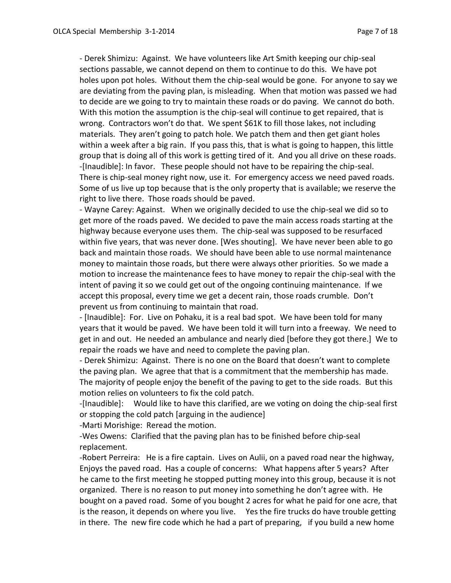- Derek Shimizu: Against. We have volunteers like Art Smith keeping our chip-seal sections passable, we cannot depend on them to continue to do this. We have pot holes upon pot holes. Without them the chip-seal would be gone. For anyone to say we are deviating from the paving plan, is misleading. When that motion was passed we had to decide are we going to try to maintain these roads or do paving. We cannot do both. With this motion the assumption is the chip-seal will continue to get repaired, that is wrong. Contractors won't do that. We spent \$61K to fill those lakes, not including materials. They aren't going to patch hole. We patch them and then get giant holes within a week after a big rain. If you pass this, that is what is going to happen, this little group that is doing all of this work is getting tired of it. And you all drive on these roads. -[Inaudible]: In favor. These people should not have to be repairing the chip-seal. There is chip-seal money right now, use it. For emergency access we need paved roads. Some of us live up top because that is the only property that is available; we reserve the right to live there. Those roads should be paved.

- Wayne Carey: Against. When we originally decided to use the chip-seal we did so to get more of the roads paved. We decided to pave the main access roads starting at the highway because everyone uses them. The chip-seal was supposed to be resurfaced within five years, that was never done. [Wes shouting]. We have never been able to go back and maintain those roads. We should have been able to use normal maintenance money to maintain those roads, but there were always other priorities. So we made a motion to increase the maintenance fees to have money to repair the chip-seal with the intent of paving it so we could get out of the ongoing continuing maintenance. If we accept this proposal, every time we get a decent rain, those roads crumble. Don't prevent us from continuing to maintain that road.

- [Inaudible]: For. Live on Pohaku, it is a real bad spot. We have been told for many years that it would be paved. We have been told it will turn into a freeway. We need to get in and out. He needed an ambulance and nearly died [before they got there.] We to repair the roads we have and need to complete the paving plan.

- Derek Shimizu: Against. There is no one on the Board that doesn't want to complete the paving plan. We agree that that is a commitment that the membership has made. The majority of people enjoy the benefit of the paving to get to the side roads. But this motion relies on volunteers to fix the cold patch.

-[Inaudible]: Would like to have this clarified, are we voting on doing the chip-seal first or stopping the cold patch [arguing in the audience]

-Marti Morishige: Reread the motion.

-Wes Owens: Clarified that the paving plan has to be finished before chip-seal replacement.

-Robert Perreira: He is a fire captain. Lives on Aulii, on a paved road near the highway, Enjoys the paved road. Has a couple of concerns: What happens after 5 years? After he came to the first meeting he stopped putting money into this group, because it is not organized. There is no reason to put money into something he don't agree with. He bought on a paved road. Some of you bought 2 acres for what he paid for one acre, that is the reason, it depends on where you live. Yes the fire trucks do have trouble getting in there. The new fire code which he had a part of preparing, if you build a new home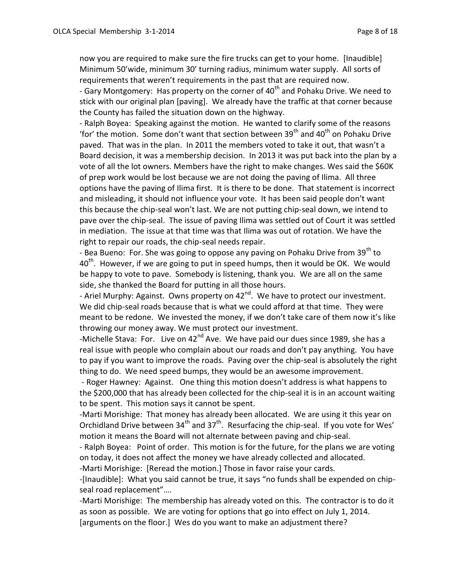now you are required to make sure the fire trucks can get to your home. [Inaudible] Minimum 50'wide, minimum 30' turning radius, minimum water supply. All sorts of requirements that weren't requirements in the past that are required now.

- Gary Montgomery: Has property on the corner of  $40<sup>th</sup>$  and Pohaku Drive. We need to stick with our original plan [paving]. We already have the traffic at that corner because the County has failed the situation down on the highway.

- Ralph Boyea: Speaking against the motion. He wanted to clarify some of the reasons 'for' the motion. Some don't want that section between 39<sup>th</sup> and 40<sup>th</sup> on Pohaku Drive paved. That was in the plan. In 2011 the members voted to take it out, that wasn't a Board decision, it was a membership decision. In 2013 it was put back into the plan by a vote of all the lot owners. Members have the right to make changes. Wes said the \$60K of prep work would be lost because we are not doing the paving of Ilima. All three options have the paving of Ilima first. It is there to be done. That statement is incorrect and misleading, it should not influence your vote. It has been said people don't want this because the chip-seal won't last. We are not putting chip-seal down, we intend to pave over the chip-seal. The issue of paving Ilima was settled out of Court it was settled in mediation. The issue at that time was that Ilima was out of rotation. We have the right to repair our roads, the chip-seal needs repair.

- Bea Bueno: For. She was going to oppose any paving on Pohaku Drive from  $39<sup>th</sup>$  to  $40<sup>th</sup>$ . However, if we are going to put in speed humps, then it would be OK. We would be happy to vote to pave. Somebody is listening, thank you. We are all on the same side, she thanked the Board for putting in all those hours.

- Ariel Murphy: Against. Owns property on 42<sup>nd</sup>. We have to protect our investment. We did chip-seal roads because that is what we could afford at that time. They were meant to be redone. We invested the money, if we don't take care of them now it's like throwing our money away. We must protect our investment.

-Michelle Stava: For. Live on  $42^{nd}$  Ave. We have paid our dues since 1989, she has a real issue with people who complain about our roads and don't pay anything. You have to pay if you want to improve the roads. Paving over the chip-seal is absolutely the right thing to do. We need speed bumps, they would be an awesome improvement.

- Roger Hawney: Against. One thing this motion doesn't address is what happens to the \$200,000 that has already been collected for the chip-seal it is in an account waiting to be spent. This motion says it cannot be spent.

-Marti Morishige: That money has already been allocated. We are using it this year on Orchidland Drive between  $34<sup>th</sup>$  and  $37<sup>th</sup>$ . Resurfacing the chip-seal. If you vote for Wes' motion it means the Board will not alternate between paving and chip-seal.

- Ralph Boyea: Point of order. This motion is for the future, for the plans we are voting on today, it does not affect the money we have already collected and allocated.

-Marti Morishige: [Reread the motion.] Those in favor raise your cards.

-[Inaudible]: What you said cannot be true, it says "no funds shall be expended on chipseal road replacement"….

-Marti Morishige: The membership has already voted on this. The contractor is to do it as soon as possible. We are voting for options that go into effect on July 1, 2014. [arguments on the floor.] Wes do you want to make an adjustment there?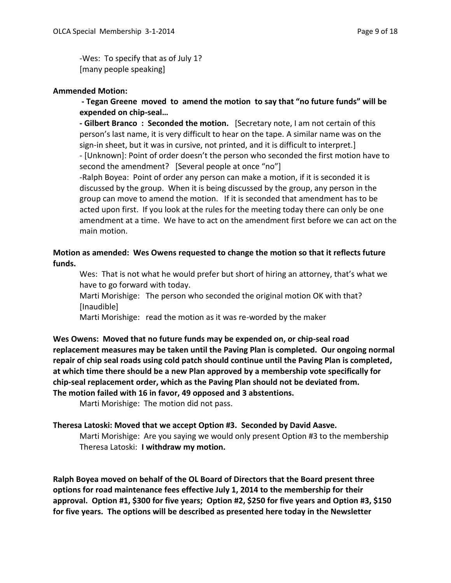-Wes: To specify that as of July 1? [many people speaking]

## **Ammended Motion:**

**- Tegan Greene moved to amend the motion to say that "no future funds" will be expended on chip-seal…**

**- Gilbert Branco : Seconded the motion.** [Secretary note, I am not certain of this person's last name, it is very difficult to hear on the tape. A similar name was on the sign-in sheet, but it was in cursive, not printed, and it is difficult to interpret.] - [Unknown]: Point of order doesn't the person who seconded the first motion have to second the amendment? [Several people at once "no"]

-Ralph Boyea: Point of order any person can make a motion, if it is seconded it is discussed by the group. When it is being discussed by the group, any person in the group can move to amend the motion. If it is seconded that amendment has to be acted upon first. If you look at the rules for the meeting today there can only be one amendment at a time. We have to act on the amendment first before we can act on the main motion.

## **Motion as amended: Wes Owens requested to change the motion so that it reflects future funds.**

Wes: That is not what he would prefer but short of hiring an attorney, that's what we have to go forward with today.

Marti Morishige: The person who seconded the original motion OK with that? [Inaudible]

Marti Morishige: read the motion as it was re-worded by the maker

**Wes Owens: Moved that no future funds may be expended on, or chip-seal road replacement measures may be taken until the Paving Plan is completed. Our ongoing normal repair of chip seal roads using cold patch should continue until the Paving Plan is completed, at which time there should be a new Plan approved by a membership vote specifically for chip-seal replacement order, which as the Paving Plan should not be deviated from. The motion failed with 16 in favor, 49 opposed and 3 abstentions.**

Marti Morishige: The motion did not pass.

## **Theresa Latoski: Moved that we accept Option #3. Seconded by David Aasve.**

Marti Morishige: Are you saying we would only present Option #3 to the membership Theresa Latoski: **I withdraw my motion.**

**Ralph Boyea moved on behalf of the OL Board of Directors that the Board present three options for road maintenance fees effective July 1, 2014 to the membership for their approval. Option #1, \$300 for five years; Option #2, \$250 for five years and Option #3, \$150 for five years. The options will be described as presented here today in the Newsletter**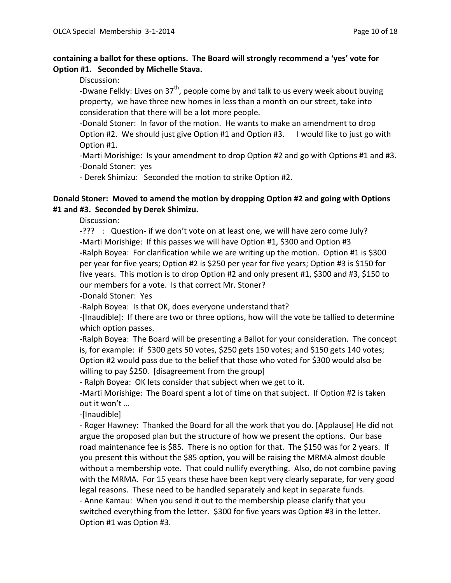## **containing a ballot for these options. The Board will strongly recommend a 'yes' vote for Option #1. Seconded by Michelle Stava.**

Discussion:

-Dwane Felkly: Lives on  $37<sup>th</sup>$ , people come by and talk to us every week about buying property, we have three new homes in less than a month on our street, take into consideration that there will be a lot more people.

-Donald Stoner: In favor of the motion. He wants to make an amendment to drop Option #2. We should just give Option #1 and Option #3. I would like to just go with Option #1.

-Marti Morishige: Is your amendment to drop Option #2 and go with Options #1 and #3. -Donald Stoner: yes

- Derek Shimizu: Seconded the motion to strike Option #2.

## **Donald Stoner: Moved to amend the motion by dropping Option #2 and going with Options #1 and #3. Seconded by Derek Shimizu.**

Discussion:

**-**??? : Question- if we don't vote on at least one, we will have zero come July? **-**Marti Morishige: If this passes we will have Option #1, \$300 and Option #3 **-**Ralph Boyea: For clarification while we are writing up the motion. Option #1 is \$300 per year for five years; Option #2 is \$250 per year for five years; Option #3 is \$150 for five years. This motion is to drop Option #2 and only present #1, \$300 and #3, \$150 to our members for a vote. Is that correct Mr. Stoner?

**-**Donald Stoner: Yes

-Ralph Boyea: Is that OK, does everyone understand that?

-[Inaudible]: If there are two or three options, how will the vote be tallied to determine which option passes.

-Ralph Boyea: The Board will be presenting a Ballot for your consideration. The concept is, for example: if \$300 gets 50 votes, \$250 gets 150 votes; and \$150 gets 140 votes; Option #2 would pass due to the belief that those who voted for \$300 would also be willing to pay \$250. [disagreement from the group]

- Ralph Boyea: OK lets consider that subject when we get to it.

-Marti Morishige: The Board spent a lot of time on that subject. If Option #2 is taken out it won't …

-[Inaudible]

- Roger Hawney: Thanked the Board for all the work that you do. [Applause] He did not argue the proposed plan but the structure of how we present the options. Our base road maintenance fee is \$85. There is no option for that. The \$150 was for 2 years. If you present this without the \$85 option, you will be raising the MRMA almost double without a membership vote. That could nullify everything. Also, do not combine paving with the MRMA. For 15 years these have been kept very clearly separate, for very good legal reasons. These need to be handled separately and kept in separate funds. - Anne Kamau: When you send it out to the membership please clarify that you switched everything from the letter. \$300 for five years was Option #3 in the letter. Option #1 was Option #3.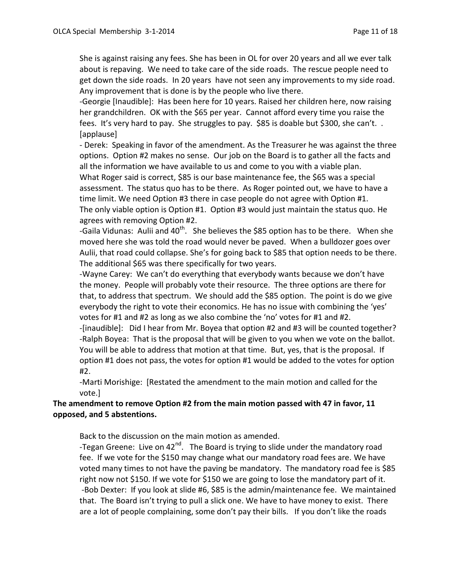She is against raising any fees. She has been in OL for over 20 years and all we ever talk about is repaving. We need to take care of the side roads. The rescue people need to get down the side roads. In 20 years have not seen any improvements to my side road. Any improvement that is done is by the people who live there.

-Georgie [Inaudible]: Has been here for 10 years. Raised her children here, now raising her grandchildren. OK with the \$65 per year. Cannot afford every time you raise the fees. It's very hard to pay. She struggles to pay. \$85 is doable but \$300, she can't.. [applause]

- Derek: Speaking in favor of the amendment. As the Treasurer he was against the three options. Option #2 makes no sense. Our job on the Board is to gather all the facts and all the information we have available to us and come to you with a viable plan. What Roger said is correct, \$85 is our base maintenance fee, the \$65 was a special assessment. The status quo has to be there. As Roger pointed out, we have to have a time limit. We need Option #3 there in case people do not agree with Option #1. The only viable option is Option #1. Option #3 would just maintain the status quo. He agrees with removing Option #2.

-Gaila Vidunas: Aulii and 40<sup>th</sup>. She believes the \$85 option has to be there. When she moved here she was told the road would never be paved. When a bulldozer goes over Aulii, that road could collapse. She's for going back to \$85 that option needs to be there. The additional \$65 was there specifically for two years.

-Wayne Carey: We can't do everything that everybody wants because we don't have the money. People will probably vote their resource. The three options are there for that, to address that spectrum. We should add the \$85 option. The point is do we give everybody the right to vote their economics. He has no issue with combining the 'yes' votes for #1 and #2 as long as we also combine the 'no' votes for #1 and #2.

-[inaudible]: Did I hear from Mr. Boyea that option #2 and #3 will be counted together? -Ralph Boyea: That is the proposal that will be given to you when we vote on the ballot. You will be able to address that motion at that time. But, yes, that is the proposal. If option #1 does not pass, the votes for option #1 would be added to the votes for option #2.

-Marti Morishige: [Restated the amendment to the main motion and called for the vote.]

# **The amendment to remove Option #2 from the main motion passed with 47 in favor, 11 opposed, and 5 abstentions.**

Back to the discussion on the main motion as amended.

-Tegan Greene: Live on  $42^{nd}$ . The Board is trying to slide under the mandatory road fee. If we vote for the \$150 may change what our mandatory road fees are. We have voted many times to not have the paving be mandatory. The mandatory road fee is \$85 right now not \$150. If we vote for \$150 we are going to lose the mandatory part of it. -Bob Dexter: If you look at slide #6, \$85 is the admin/maintenance fee. We maintained that. The Board isn't trying to pull a slick one. We have to have money to exist. There are a lot of people complaining, some don't pay their bills. If you don't like the roads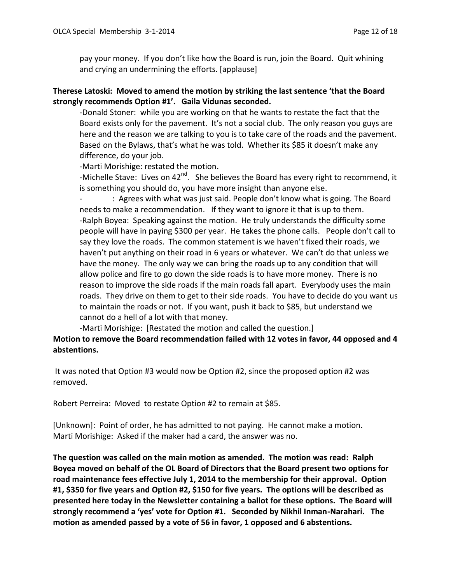pay your money. If you don't like how the Board is run, join the Board. Quit whining and crying an undermining the efforts. [applause]

## **Therese Latoski: Moved to amend the motion by striking the last sentence 'that the Board strongly recommends Option #1'. Gaila Vidunas seconded.**

-Donald Stoner: while you are working on that he wants to restate the fact that the Board exists only for the pavement. It's not a social club. The only reason you guys are here and the reason we are talking to you is to take care of the roads and the pavement. Based on the Bylaws, that's what he was told. Whether its \$85 it doesn't make any difference, do your job.

-Marti Morishige: restated the motion.

-Michelle Stave: Lives on  $42^{nd}$ . She believes the Board has every right to recommend, it is something you should do, you have more insight than anyone else.

: Agrees with what was just said. People don't know what is going. The Board needs to make a recommendation. If they want to ignore it that is up to them. -Ralph Boyea: Speaking against the motion. He truly understands the difficulty some people will have in paying \$300 per year. He takes the phone calls. People don't call to say they love the roads. The common statement is we haven't fixed their roads, we haven't put anything on their road in 6 years or whatever. We can't do that unless we have the money. The only way we can bring the roads up to any condition that will allow police and fire to go down the side roads is to have more money. There is no reason to improve the side roads if the main roads fall apart. Everybody uses the main roads. They drive on them to get to their side roads. You have to decide do you want us to maintain the roads or not. If you want, push it back to \$85, but understand we cannot do a hell of a lot with that money.

-Marti Morishige: [Restated the motion and called the question.]

# **Motion to remove the Board recommendation failed with 12 votes in favor, 44 opposed and 4 abstentions.**

It was noted that Option #3 would now be Option #2, since the proposed option #2 was removed.

Robert Perreira: Moved to restate Option #2 to remain at \$85.

[Unknown]: Point of order, he has admitted to not paying. He cannot make a motion. Marti Morishige: Asked if the maker had a card, the answer was no.

**The question was called on the main motion as amended. The motion was read: Ralph Boyea moved on behalf of the OL Board of Directors that the Board present two options for road maintenance fees effective July 1, 2014 to the membership for their approval. Option #1, \$350 for five years and Option #2, \$150 for five years. The options will be described as presented here today in the Newsletter containing a ballot for these options. The Board will strongly recommend a 'yes' vote for Option #1. Seconded by Nikhil Inman-Narahari. The motion as amended passed by a vote of 56 in favor, 1 opposed and 6 abstentions.**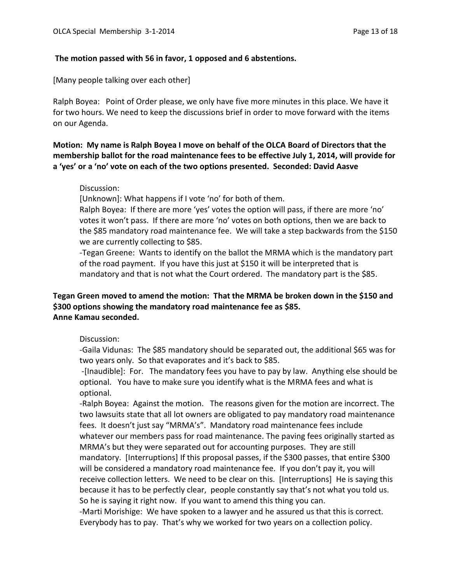#### **The motion passed with 56 in favor, 1 opposed and 6 abstentions.**

[Many people talking over each other]

Ralph Boyea: Point of Order please, we only have five more minutes in this place. We have it for two hours. We need to keep the discussions brief in order to move forward with the items on our Agenda.

**Motion: My name is Ralph Boyea I move on behalf of the OLCA Board of Directors that the membership ballot for the road maintenance fees to be effective July 1, 2014, will provide for a 'yes' or a 'no' vote on each of the two options presented. Seconded: David Aasve**

#### Discussion:

[Unknown]: What happens if I vote 'no' for both of them.

Ralph Boyea: If there are more 'yes' votes the option will pass, if there are more 'no' votes it won't pass. If there are more 'no' votes on both options, then we are back to the \$85 mandatory road maintenance fee. We will take a step backwards from the \$150 we are currently collecting to \$85.

-Tegan Greene: Wants to identify on the ballot the MRMA which is the mandatory part of the road payment. If you have this just at \$150 it will be interpreted that is mandatory and that is not what the Court ordered. The mandatory part is the \$85.

## **Tegan Green moved to amend the motion: That the MRMA be broken down in the \$150 and \$300 options showing the mandatory road maintenance fee as \$85. Anne Kamau seconded.**

#### Discussion:

-Gaila Vidunas: The \$85 mandatory should be separated out, the additional \$65 was for two years only. So that evaporates and it's back to \$85.

-[Inaudible]: For. The mandatory fees you have to pay by law. Anything else should be optional. You have to make sure you identify what is the MRMA fees and what is optional.

-Ralph Boyea: Against the motion. The reasons given for the motion are incorrect. The two lawsuits state that all lot owners are obligated to pay mandatory road maintenance fees. It doesn't just say "MRMA's". Mandatory road maintenance fees include whatever our members pass for road maintenance. The paving fees originally started as MRMA's but they were separated out for accounting purposes. They are still mandatory. [Interruptions] If this proposal passes, if the \$300 passes, that entire \$300 will be considered a mandatory road maintenance fee. If you don't pay it, you will receive collection letters. We need to be clear on this. [Interruptions] He is saying this because it has to be perfectly clear, people constantly say that's not what you told us. So he is saying it right now. If you want to amend this thing you can.

-Marti Morishige: We have spoken to a lawyer and he assured us that this is correct. Everybody has to pay. That's why we worked for two years on a collection policy.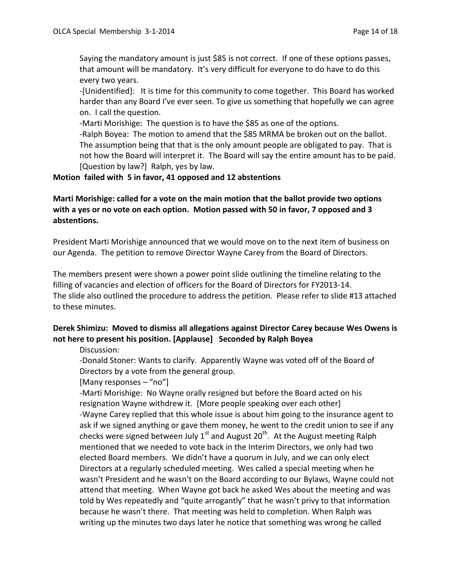Saying the mandatory amount is just \$85 is not correct. If one of these options passes, that amount will be mandatory. It's very difficult for everyone to do have to do this every two years.

-[Unidentified]: It is time for this community to come together. This Board has worked harder than any Board I've ever seen. To give us something that hopefully we can agree on. I call the question.

-Marti Morishige: The question is to have the \$85 as one of the options.

-Ralph Boyea: The motion to amend that the \$85 MRMA be broken out on the ballot. The assumption being that that is the only amount people are obligated to pay. That is not how the Board will interpret it. The Board will say the entire amount has to be paid. [Question by law?] Ralph, yes by law.

## **Motion failed with 5 in favor, 41 opposed and 12 abstentions**

# **Marti Morishige: called for a vote on the main motion that the ballot provide two options with a yes or no vote on each option. Motion passed with 50 in favor, 7 opposed and 3 abstentions.**

President Marti Morishige announced that we would move on to the next item of business on our Agenda. The petition to remove Director Wayne Carey from the Board of Directors.

The members present were shown a power point slide outlining the timeline relating to the filling of vacancies and election of officers for the Board of Directors for FY2013-14. The slide also outlined the procedure to address the petition. Please refer to slide #13 attached to these minutes.

# **Derek Shimizu: Moved to dismiss all allegations against Director Carey because Wes Owens is not here to present his position. [Applause] Seconded by Ralph Boyea**

## Discussion:

-Donald Stoner: Wants to clarify. Apparently Wayne was voted off of the Board of Directors by a vote from the general group.

## [Many responses – "no"]

-Marti Morishige: No Wayne orally resigned but before the Board acted on his resignation Wayne withdrew it. [More people speaking over each other] -Wayne Carey replied that this whole issue is about him going to the insurance agent to ask if we signed anything or gave them money, he went to the credit union to see if any checks were signed between July  $1<sup>st</sup>$  and August  $20<sup>th</sup>$ . At the August meeting Ralph mentioned that we needed to vote back in the Interim Directors, we only had two elected Board members. We didn't have a quorum in July, and we can only elect Directors at a regularly scheduled meeting. Wes called a special meeting when he wasn't President and he wasn't on the Board according to our Bylaws, Wayne could not attend that meeting. When Wayne got back he asked Wes about the meeting and was told by Wes repeatedly and "quite arrogantly" that he wasn't privy to that information because he wasn't there. That meeting was held to completion. When Ralph was writing up the minutes two days later he notice that something was wrong he called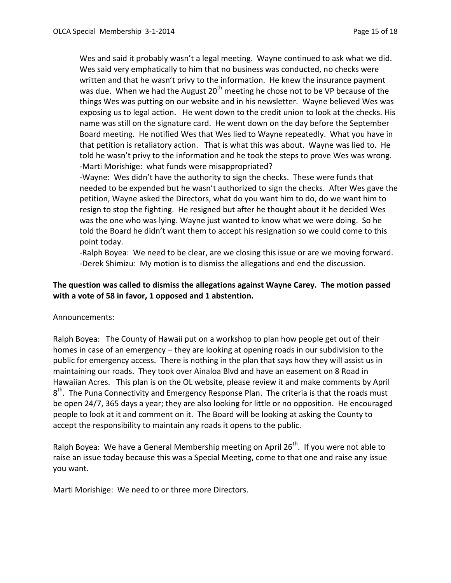Wes and said it probably wasn't a legal meeting. Wayne continued to ask what we did. Wes said very emphatically to him that no business was conducted, no checks were written and that he wasn't privy to the information. He knew the insurance payment was due. When we had the August 20<sup>th</sup> meeting he chose not to be VP because of the things Wes was putting on our website and in his newsletter. Wayne believed Wes was exposing us to legal action. He went down to the credit union to look at the checks. His name was still on the signature card. He went down on the day before the September Board meeting. He notified Wes that Wes lied to Wayne repeatedly. What you have in that petition is retaliatory action. That is what this was about. Wayne was lied to. He told he wasn't privy to the information and he took the steps to prove Wes was wrong. -Marti Morishige: what funds were misappropriated?

-Wayne: Wes didn't have the authority to sign the checks. These were funds that needed to be expended but he wasn't authorized to sign the checks. After Wes gave the petition, Wayne asked the Directors, what do you want him to do, do we want him to resign to stop the fighting. He resigned but after he thought about it he decided Wes was the one who was lying. Wayne just wanted to know what we were doing. So he told the Board he didn't want them to accept his resignation so we could come to this point today.

-Ralph Boyea: We need to be clear, are we closing this issue or are we moving forward. -Derek Shimizu: My motion is to dismiss the allegations and end the discussion.

## **The question was called to dismiss the allegations against Wayne Carey. The motion passed with a vote of 58 in favor, 1 opposed and 1 abstention.**

Announcements:

Ralph Boyea: The County of Hawaii put on a workshop to plan how people get out of their homes in case of an emergency – they are looking at opening roads in our subdivision to the public for emergency access. There is nothing in the plan that says how they will assist us in maintaining our roads. They took over Ainaloa Blvd and have an easement on 8 Road in Hawaiian Acres. This plan is on the OL website, please review it and make comments by April 8<sup>th</sup>. The Puna Connectivity and Emergency Response Plan. The criteria is that the roads must be open 24/7, 365 days a year; they are also looking for little or no opposition. He encouraged people to look at it and comment on it. The Board will be looking at asking the County to accept the responsibility to maintain any roads it opens to the public.

Ralph Boyea: We have a General Membership meeting on April  $26<sup>th</sup>$ . If you were not able to raise an issue today because this was a Special Meeting, come to that one and raise any issue you want.

Marti Morishige: We need to or three more Directors.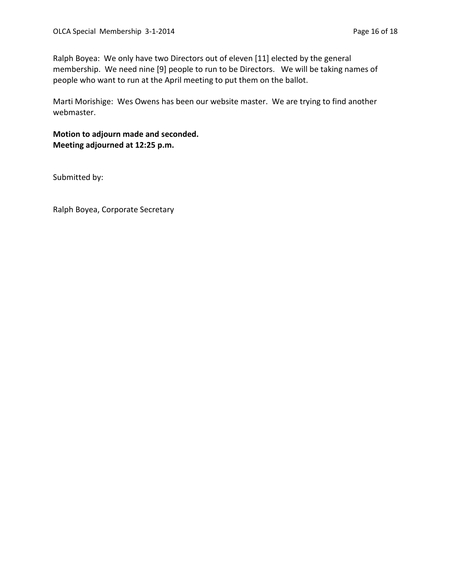Ralph Boyea: We only have two Directors out of eleven [11] elected by the general membership. We need nine [9] people to run to be Directors. We will be taking names of people who want to run at the April meeting to put them on the ballot.

Marti Morishige: Wes Owens has been our website master. We are trying to find another webmaster.

**Motion to adjourn made and seconded. Meeting adjourned at 12:25 p.m.**

Submitted by:

Ralph Boyea, Corporate Secretary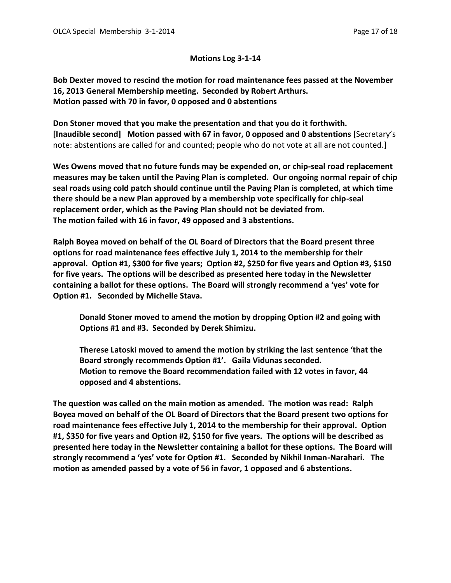#### **Motions Log 3-1-14**

**Bob Dexter moved to rescind the motion for road maintenance fees passed at the November 16, 2013 General Membership meeting. Seconded by Robert Arthurs. Motion passed with 70 in favor, 0 opposed and 0 abstentions**

**Don Stoner moved that you make the presentation and that you do it forthwith. [Inaudible second] Motion passed with 67 in favor, 0 opposed and 0 abstentions** [Secretary's note: abstentions are called for and counted; people who do not vote at all are not counted.]

**Wes Owens moved that no future funds may be expended on, or chip-seal road replacement measures may be taken until the Paving Plan is completed. Our ongoing normal repair of chip seal roads using cold patch should continue until the Paving Plan is completed, at which time there should be a new Plan approved by a membership vote specifically for chip-seal replacement order, which as the Paving Plan should not be deviated from. The motion failed with 16 in favor, 49 opposed and 3 abstentions.**

**Ralph Boyea moved on behalf of the OL Board of Directors that the Board present three options for road maintenance fees effective July 1, 2014 to the membership for their approval. Option #1, \$300 for five years; Option #2, \$250 for five years and Option #3, \$150 for five years. The options will be described as presented here today in the Newsletter containing a ballot for these options. The Board will strongly recommend a 'yes' vote for Option #1. Seconded by Michelle Stava.**

**Donald Stoner moved to amend the motion by dropping Option #2 and going with Options #1 and #3. Seconded by Derek Shimizu.**

**Therese Latoski moved to amend the motion by striking the last sentence 'that the Board strongly recommends Option #1'. Gaila Vidunas seconded. Motion to remove the Board recommendation failed with 12 votes in favor, 44 opposed and 4 abstentions.**

**The question was called on the main motion as amended. The motion was read: Ralph Boyea moved on behalf of the OL Board of Directors that the Board present two options for road maintenance fees effective July 1, 2014 to the membership for their approval. Option #1, \$350 for five years and Option #2, \$150 for five years. The options will be described as presented here today in the Newsletter containing a ballot for these options. The Board will strongly recommend a 'yes' vote for Option #1. Seconded by Nikhil Inman-Narahari. The motion as amended passed by a vote of 56 in favor, 1 opposed and 6 abstentions.**